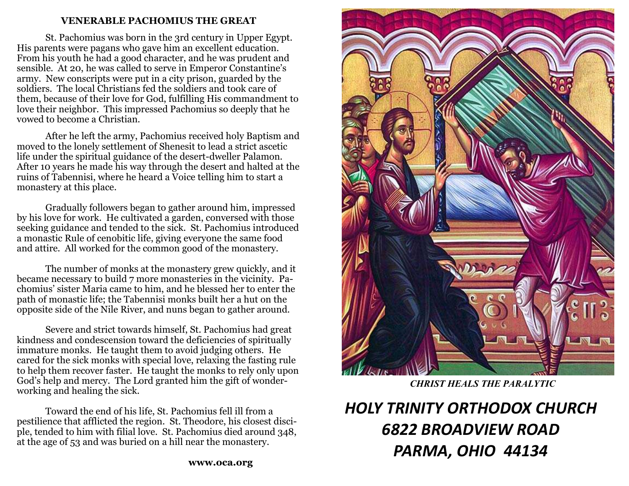#### **VENERABLE PACHOMIUS THE GREAT**

 St. Pachomius was born in the 3rd century in Upper Egypt. His parents were pagans who gave him an excellent education. From his youth he had a good character, and he was prudent and sensible. At 20, he was called to serve in Emperor Constantine's army. New conscripts were put in a city prison, guarded by the soldiers. The local Christians fed the soldiers and took care of them, because of their love for God, fulfilling His commandment to love their neighbor. This impressed Pachomius so deeply that he vowed to become a Christian.

 After he left the army, Pachomius received holy Baptism and moved to the lonely settlement of Shenesit to lead a strict ascetic life under the spiritual guidance of the desert-dweller Palamon. After 10 years he made his way through the desert and halted at the ruins of Tabennisi, where he heard a Voice telling him to start a monastery at this place.

 Gradually followers began to gather around him, impressed by his love for work. He cultivated a garden, conversed with those seeking guidance and tended to the sick. St. Pachomius introduced a monastic Rule of cenobitic life, giving everyone the same food and attire. All worked for the common good of the monastery.

 The number of monks at the monastery grew quickly, and it became necessary to build 7 more monasteries in the vicinity. Pachomius' sister Maria came to him, and he blessed her to enter the path of monastic life; the Tabennisi monks built her a hut on the opposite side of the Nile River, and nuns began to gather around.

 Severe and strict towards himself, St. Pachomius had great kindness and condescension toward the deficiencies of spiritually immature monks. He taught them to avoid judging others. He cared for the sick monks with special love, relaxing the fasting rule to help them recover faster. He taught the monks to rely only upon God's help and mercy. The Lord granted him the gift of wonderworking and healing the sick.

 Toward the end of his life, St. Pachomius fell ill from a pestilience that afflicted the region. St. Theodore, his closest disciple, tended to him with filial love. St. Pachomius died around 348, at the age of 53 and was buried on a hill near the monastery.



*CHRIST HEALS THE PARALYTIC*

# *HOLY TRINITY ORTHODOX CHURCH 6822 BROADVIEW ROAD PARMA, OHIO 44134*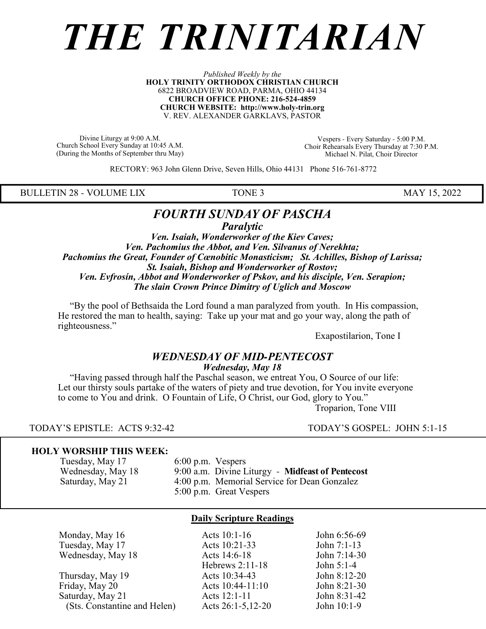# *THE TRINITARIAN*

#### *Published Weekly by the* **HOLY TRINITY ORTHODOX CHRISTIAN CHURCH** 6822 BROADVIEW ROAD, PARMA, OHIO 44134 **CHURCH OFFICE PHONE: 216-524-4859 CHURCH WEBSITE: http://www.holy-trin.org** V. REV. ALEXANDER GARKLAVS, PASTOR

Divine Liturgy at 9:00 A.M. Church School Every Sunday at 10:45 A.M. (During the Months of September thru May)

Vespers - Every Saturday - 5:00 P.M. Choir Rehearsals Every Thursday at 7:30 P.M. Michael N. Pilat, Choir Director

RECTORY: 963 John Glenn Drive, Seven Hills, Ohio 44131 Phone 516-761-8772

BULLETIN 28 - VOLUME LIX TONE 3 MAY 15, 2022

## *FOURTH SUNDAY OF PASCHA*

*Paralytic*

*Ven. Isaiah, Wonderworker of the Kiev Caves; Ven. Pachomius the Abbot, and Ven. Silvanus of Nerekhta; Pachomius the Great, Founder of Cœnobitic Monasticism; St. Achilles, Bishop of Larissa; St. Isaiah, Bishop and Wonderworker of Rostov; Ven. Evfrosín, Abbot and Wonderworker of Pskov, and his disciple, Ven. Serapion; The slain Crown Prince Dimitry of Uglich and Moscow*

 "By the pool of Bethsaida the Lord found a man paralyzed from youth. In His compassion, He restored the man to health, saying: Take up your mat and go your way, along the path of righteousness."

Exapostilarion, Tone I

## *WEDNESDAY OF MID-PENTECOST*

*Wednesday, May 18*

 "Having passed through half the Paschal season, we entreat You, O Source of our life: Let our thirsty souls partake of the waters of piety and true devotion, for You invite everyone to come to You and drink. O Fountain of Life, O Christ, our God, glory to You."

Troparion, Tone VIII

TODAY'S EPISTLE: ACTS 9:32-42 TODAY'S GOSPEL: JOHN 5:1-15

#### **HOLY WORSHIP THIS WEEK:**

Tuesday, May 17 6:00 p.m. Vespers<br>Wednesday, May 18 9:00 a.m. Divine L

Wednesday, May 18 9:00 a.m. Divine Liturgy - **Midfeast of Pentecost**<br>Saturday, May 21 4:00 p.m. Memorial Service for Dean Gonzalez 4:00 p.m. Memorial Service for Dean Gonzalez 5:00 p.m. Great Vespers

#### **Daily Scripture Readings**

| Monday, May 16               | Acts 10:1-16        | John 6:56-69  |
|------------------------------|---------------------|---------------|
| Tuesday, May 17              | Acts 10:21-33       | John $7:1-13$ |
| Wednesday, May 18            | Acts 14:6-18        | John 7:14-30  |
|                              | Hebrews $2:11-18$   | John $5:1-4$  |
| Thursday, May 19             | Acts 10:34-43       | John 8:12-20  |
| Friday, May 20               | Acts $10:44-11:10$  | John 8:21-30  |
| Saturday, May 21             | Acts 12:1-11        | John 8:31-42  |
| (Sts. Constantine and Helen) | Acts $26:1-5,12-20$ | John 10:1-9   |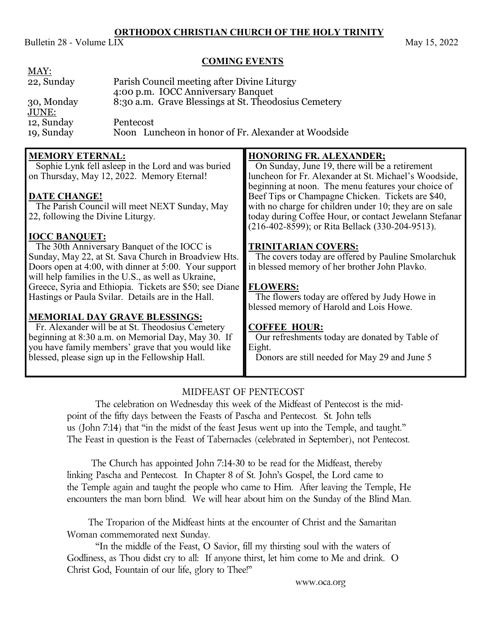#### **ORTHODOX CHRISTIAN CHURCH OF THE HOLY TRINITY**

Bulletin 28 - Volume  $L\overline{IX}$  May 15, 2022

**WAY:** 

#### **COMING EVENTS**

| MAT:       |                                                      |
|------------|------------------------------------------------------|
| 22, Sunday | Parish Council meeting after Divine Liturgy          |
|            | 4:00 p.m. IOCC Anniversary Banquet                   |
| 30, Monday | 8:30 a.m. Grave Blessings at St. Theodosius Cemetery |
| JUNE:      |                                                      |
| 12, Sunday | Pentecost                                            |
| 19, Sunday | Noon Luncheon in honor of Fr. Alexander at Woodside  |
|            |                                                      |

#### **MEMORY ETERNAL:**

 Sophie Lynk fell asleep in the Lord and was buried on Thursday, May 12, 2022. Memory Eternal!

#### **DATE CHANGE!**

 The Parish Council will meet NEXT Sunday, May 22, following the Divine Liturgy.

#### **IOCC BANQUET:**

 The 30th Anniversary Banquet of the IOCC is Sunday, May 22, at St. Sava Church in Broadview Hts. Doors open at 4:00, with dinner at 5:00. Your support will help families in the U.S., as well as Ukraine, Greece, Syria and Ethiopia. Tickets are \$50; see Diane Hastings or Paula Svilar. Details are in the Hall.

#### **MEMORIAL DAY GRAVE BLESSINGS:**

 Fr. Alexander will be at St. Theodosius Cemetery beginning at 8:30 a.m. on Memorial Day, May 30. If you have family members' grave that you would like blessed, please sign up in the Fellowship Hall.

#### **HONORING FR. ALEXANDER;**

 On Sunday, June 19, there will be a retirement luncheon for Fr. Alexander at St. Michael's Woodside, beginning at noon. The menu features your choice of Beef Tips or Champagne Chicken. Tickets are \$40, with no charge for children under 10; they are on sale today during Coffee Hour, or contact Jewelann Stefanar (216-402-8599); or Rita Bellack (330-204-9513).

#### **TRINITARIAN COVERS:**

 The covers today are offered by Pauline Smolarchuk in blessed memory of her brother John Plavko.

#### **FLOWERS:**

 The flowers today are offered by Judy Howe in blessed memory of Harold and Lois Howe.

#### **COFFEE HOUR:**

 Our refreshments today are donated by Table of Eight. Donors are still needed for May 29 and June 5

#### MIDFEAST OF PENTECOST

The celebration on Wednesday this week of the Midfeast of Pentecost is the midpoint of the fifty days between the Feasts of Pascha and Pentecost. St. John tells us (John 7:14) that "in the midst of the feast Jesus went up into the Temple, and taught." The Feast in question is the Feast of Tabernacles (celebrated in September), not Pentecost.

The Church has appointed John 7:14-30 to be read for the Midfeast, thereby linking Pascha and Pentecost. In Chapter 8 of St. John's Gospel, the Lord came to the Temple again and taught the people who came to Him. After leaving the Temple, He encounters the man born blind. We will hear about him on the Sunday of the Blind Man.

The Troparion of the Midfeast hints at the encounter of Christ and the Samaritan Woman commemorated next Sunday.

"In the middle of the Feast, O Savior, fill my thirsting soul with the waters of Godliness, as Thou didst cry to all: If anyone thirst, let him come to Me and drink. O Christ God, Fountain of our life, glory to Thee!"